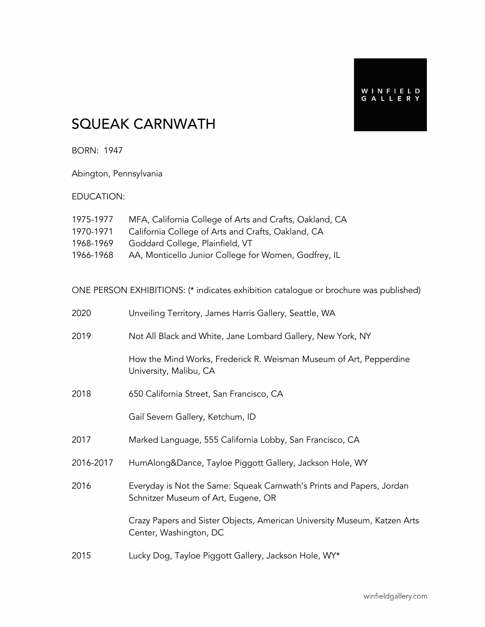## SQUEAK CARNWATH

BORN: 1947

Abington, Pennsylvania

#### EDUCATION:

| 1975-1977 | MFA, California College of Arts and Crafts, Oakland, CA |
|-----------|---------------------------------------------------------|
| 1970-1971 | California College of Arts and Crafts, Oakland, CA      |
| 1968-1969 | Goddard College, Plainfield, VT                         |
| 1966-1968 | AA, Monticello Junior College for Women, Godfrey, IL    |

ONE PERSON EXHIBITIONS: (\* indicates exhibition catalogue or brochure was published)

| 2020      | Unveiling Territory, James Harris Gallery, Seattle, WA                                                       |
|-----------|--------------------------------------------------------------------------------------------------------------|
| 2019      | Not All Black and White, Jane Lombard Gallery, New York, NY                                                  |
|           | How the Mind Works, Frederick R. Weisman Museum of Art, Pepperdine<br>University, Malibu, CA                 |
| 2018      | 650 California Street, San Francisco, CA                                                                     |
|           | Gail Severn Gallery, Ketchum, ID                                                                             |
| 2017      | Marked Language, 555 California Lobby, San Francisco, CA                                                     |
| 2016-2017 | HumAlong&Dance, Tayloe Piggott Gallery, Jackson Hole, WY                                                     |
| 2016      | Everyday is Not the Same: Squeak Carnwath's Prints and Papers, Jordan<br>Schnitzer Museum of Art, Eugene, OR |
|           | Crazy Papers and Sister Objects, American University Museum, Katzen Arts<br>Center, Washington, DC           |
| 2015      | Lucky Dog, Tayloe Piggott Gallery, Jackson Hole, WY*                                                         |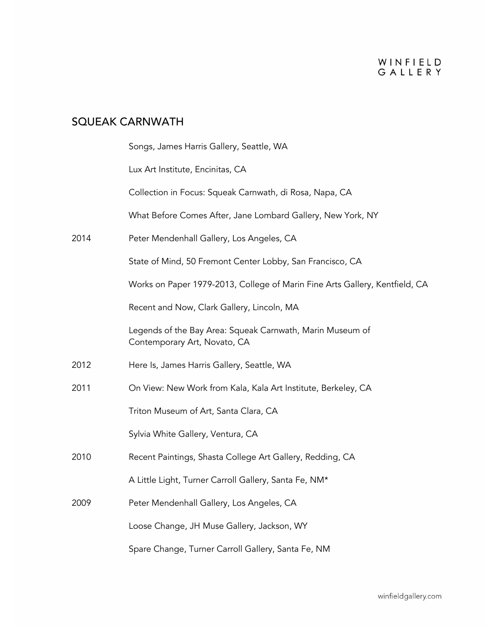|      | Songs, James Harris Gallery, Seattle, WA                                                  |
|------|-------------------------------------------------------------------------------------------|
|      | Lux Art Institute, Encinitas, CA                                                          |
|      | Collection in Focus: Squeak Carnwath, di Rosa, Napa, CA                                   |
|      | What Before Comes After, Jane Lombard Gallery, New York, NY                               |
| 2014 | Peter Mendenhall Gallery, Los Angeles, CA                                                 |
|      | State of Mind, 50 Fremont Center Lobby, San Francisco, CA                                 |
|      | Works on Paper 1979-2013, College of Marin Fine Arts Gallery, Kentfield, CA               |
|      | Recent and Now, Clark Gallery, Lincoln, MA                                                |
|      | Legends of the Bay Area: Squeak Carnwath, Marin Museum of<br>Contemporary Art, Novato, CA |
| 2012 | Here Is, James Harris Gallery, Seattle, WA                                                |
| 2011 | On View: New Work from Kala, Kala Art Institute, Berkeley, CA                             |
|      | Triton Museum of Art, Santa Clara, CA                                                     |
|      | Sylvia White Gallery, Ventura, CA                                                         |
| 2010 | Recent Paintings, Shasta College Art Gallery, Redding, CA                                 |
|      | A Little Light, Turner Carroll Gallery, Santa Fe, NM*                                     |
| 2009 | Peter Mendenhall Gallery, Los Angeles, CA                                                 |
|      | Loose Change, JH Muse Gallery, Jackson, WY                                                |
|      | Spare Change, Turner Carroll Gallery, Santa Fe, NM                                        |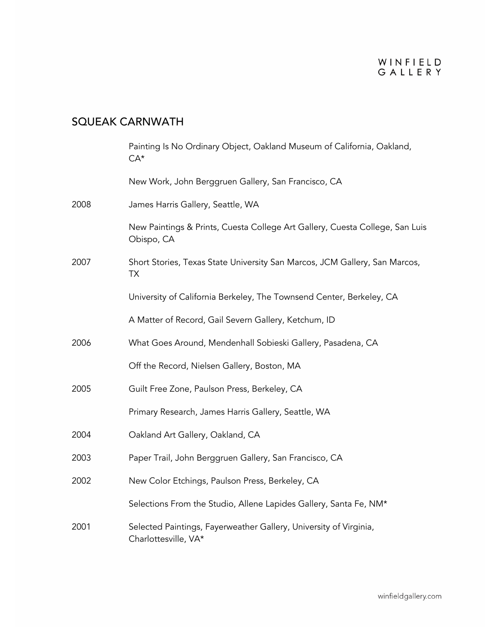|      | Painting Is No Ordinary Object, Oakland Museum of California, Oakland,<br>$CA*$            |
|------|--------------------------------------------------------------------------------------------|
|      | New Work, John Berggruen Gallery, San Francisco, CA                                        |
| 2008 | James Harris Gallery, Seattle, WA                                                          |
|      | New Paintings & Prints, Cuesta College Art Gallery, Cuesta College, San Luis<br>Obispo, CA |
| 2007 | Short Stories, Texas State University San Marcos, JCM Gallery, San Marcos,<br><b>TX</b>    |
|      | University of California Berkeley, The Townsend Center, Berkeley, CA                       |
|      | A Matter of Record, Gail Severn Gallery, Ketchum, ID                                       |
| 2006 | What Goes Around, Mendenhall Sobieski Gallery, Pasadena, CA                                |
|      | Off the Record, Nielsen Gallery, Boston, MA                                                |
| 2005 | Guilt Free Zone, Paulson Press, Berkeley, CA                                               |
|      | Primary Research, James Harris Gallery, Seattle, WA                                        |
| 2004 | Oakland Art Gallery, Oakland, CA                                                           |
| 2003 | Paper Trail, John Berggruen Gallery, San Francisco, CA                                     |
| 2002 | New Color Etchings, Paulson Press, Berkeley, CA                                            |
|      | Selections From the Studio, Allene Lapides Gallery, Santa Fe, NM*                          |
| 2001 | Selected Paintings, Fayerweather Gallery, University of Virginia,<br>Charlottesville, VA*  |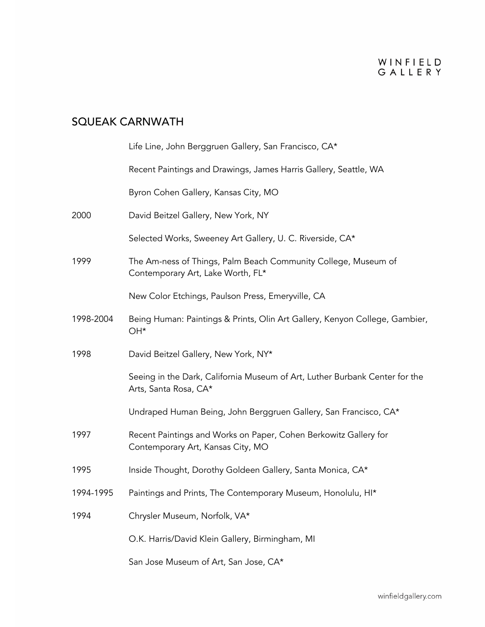|           | Life Line, John Berggruen Gallery, San Francisco, CA*                                                 |
|-----------|-------------------------------------------------------------------------------------------------------|
|           | Recent Paintings and Drawings, James Harris Gallery, Seattle, WA                                      |
|           | Byron Cohen Gallery, Kansas City, MO                                                                  |
| 2000      | David Beitzel Gallery, New York, NY                                                                   |
|           | Selected Works, Sweeney Art Gallery, U. C. Riverside, CA*                                             |
| 1999      | The Am-ness of Things, Palm Beach Community College, Museum of<br>Contemporary Art, Lake Worth, FL*   |
|           | New Color Etchings, Paulson Press, Emeryville, CA                                                     |
| 1998-2004 | Being Human: Paintings & Prints, Olin Art Gallery, Kenyon College, Gambier,<br>OH*                    |
| 1998      | David Beitzel Gallery, New York, NY*                                                                  |
|           | Seeing in the Dark, California Museum of Art, Luther Burbank Center for the<br>Arts, Santa Rosa, CA*  |
|           | Undraped Human Being, John Berggruen Gallery, San Francisco, CA*                                      |
| 1997      | Recent Paintings and Works on Paper, Cohen Berkowitz Gallery for<br>Contemporary Art, Kansas City, MO |
| 1995      | Inside Thought, Dorothy Goldeen Gallery, Santa Monica, CA*                                            |
| 1994-1995 | Paintings and Prints, The Contemporary Museum, Honolulu, HI*                                          |
| 1994      | Chrysler Museum, Norfolk, VA*                                                                         |
|           | O.K. Harris/David Klein Gallery, Birmingham, MI                                                       |
|           | San Jose Museum of Art, San Jose, CA*                                                                 |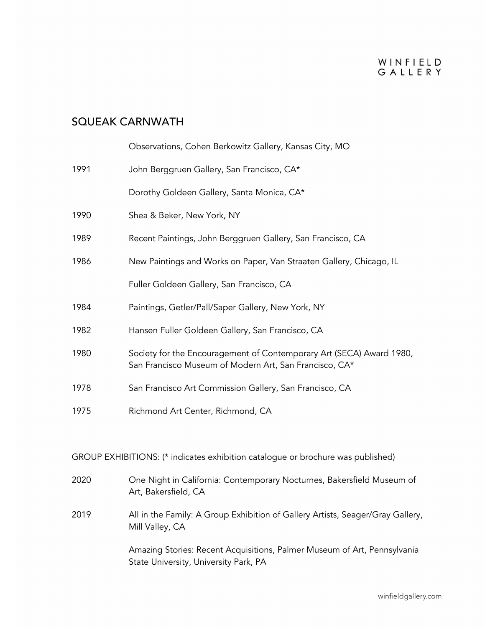## SQUEAK CARNWATH

|      | Observations, Cohen Berkowitz Gallery, Kansas City, MO                                                                         |
|------|--------------------------------------------------------------------------------------------------------------------------------|
| 1991 | John Berggruen Gallery, San Francisco, CA*                                                                                     |
|      | Dorothy Goldeen Gallery, Santa Monica, CA*                                                                                     |
| 1990 | Shea & Beker, New York, NY                                                                                                     |
| 1989 | Recent Paintings, John Berggruen Gallery, San Francisco, CA                                                                    |
| 1986 | New Paintings and Works on Paper, Van Straaten Gallery, Chicago, IL                                                            |
|      | Fuller Goldeen Gallery, San Francisco, CA                                                                                      |
| 1984 | Paintings, Getler/Pall/Saper Gallery, New York, NY                                                                             |
| 1982 | Hansen Fuller Goldeen Gallery, San Francisco, CA                                                                               |
| 1980 | Society for the Encouragement of Contemporary Art (SECA) Award 1980,<br>San Francisco Museum of Modern Art, San Francisco, CA* |
| 1978 | San Francisco Art Commission Gallery, San Francisco, CA                                                                        |
| 1975 | Richmond Art Center, Richmond, CA                                                                                              |

#### GROUP EXHIBITIONS: (\* indicates exhibition catalogue or brochure was published)

| 2020 | One Night in California: Contemporary Nocturnes, Bakersfield Museum of<br>Art, Bakersfield, CA                    |
|------|-------------------------------------------------------------------------------------------------------------------|
| 2019 | All in the Family: A Group Exhibition of Gallery Artists, Seager/Gray Gallery,<br>Mill Valley, CA                 |
|      | Amazing Stories: Recent Acquisitions, Palmer Museum of Art, Pennsylvania<br>State University, University Park, PA |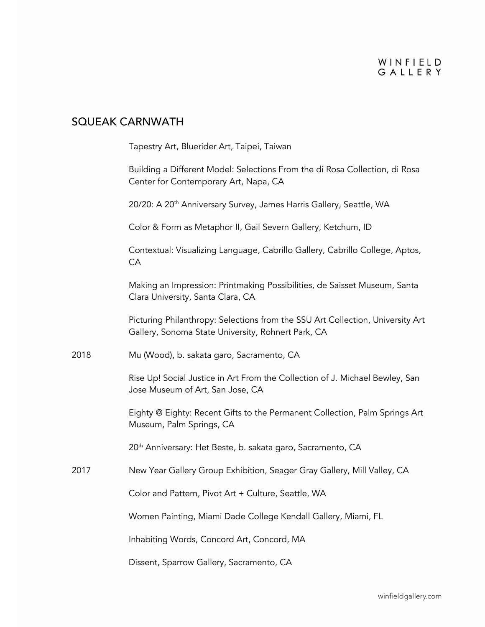|      | Tapestry Art, Bluerider Art, Taipei, Taiwan                                                                                          |
|------|--------------------------------------------------------------------------------------------------------------------------------------|
|      | Building a Different Model: Selections From the di Rosa Collection, di Rosa<br>Center for Contemporary Art, Napa, CA                 |
|      | 20/20: A 20 <sup>th</sup> Anniversary Survey, James Harris Gallery, Seattle, WA                                                      |
|      | Color & Form as Metaphor II, Gail Severn Gallery, Ketchum, ID                                                                        |
|      | Contextual: Visualizing Language, Cabrillo Gallery, Cabrillo College, Aptos,<br>CA                                                   |
|      | Making an Impression: Printmaking Possibilities, de Saisset Museum, Santa<br>Clara University, Santa Clara, CA                       |
|      | Picturing Philanthropy: Selections from the SSU Art Collection, University Art<br>Gallery, Sonoma State University, Rohnert Park, CA |
| 2018 | Mu (Wood), b. sakata garo, Sacramento, CA                                                                                            |
|      | Rise Up! Social Justice in Art From the Collection of J. Michael Bewley, San<br>Jose Museum of Art, San Jose, CA                     |
|      | Eighty @ Eighty: Recent Gifts to the Permanent Collection, Palm Springs Art<br>Museum, Palm Springs, CA                              |
|      | 20 <sup>th</sup> Anniversary: Het Beste, b. sakata garo, Sacramento, CA                                                              |
| 2017 | New Year Gallery Group Exhibition, Seager Gray Gallery, Mill Valley, CA                                                              |
|      | Color and Pattern, Pivot Art + Culture, Seattle, WA                                                                                  |
|      | Women Painting, Miami Dade College Kendall Gallery, Miami, FL                                                                        |
|      | Inhabiting Words, Concord Art, Concord, MA                                                                                           |
|      | Dissent, Sparrow Gallery, Sacramento, CA                                                                                             |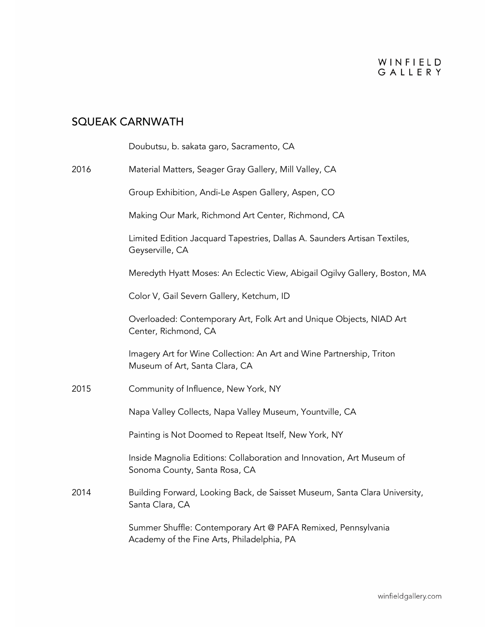|      | Doubutsu, b. sakata garo, Sacramento, CA                                                                    |
|------|-------------------------------------------------------------------------------------------------------------|
| 2016 | Material Matters, Seager Gray Gallery, Mill Valley, CA                                                      |
|      | Group Exhibition, Andi-Le Aspen Gallery, Aspen, CO                                                          |
|      | Making Our Mark, Richmond Art Center, Richmond, CA                                                          |
|      | Limited Edition Jacquard Tapestries, Dallas A. Saunders Artisan Textiles,<br>Geyserville, CA                |
|      | Meredyth Hyatt Moses: An Eclectic View, Abigail Ogilvy Gallery, Boston, MA                                  |
|      | Color V, Gail Severn Gallery, Ketchum, ID                                                                   |
|      | Overloaded: Contemporary Art, Folk Art and Unique Objects, NIAD Art<br>Center, Richmond, CA                 |
|      | Imagery Art for Wine Collection: An Art and Wine Partnership, Triton<br>Museum of Art, Santa Clara, CA      |
| 2015 | Community of Influence, New York, NY                                                                        |
|      | Napa Valley Collects, Napa Valley Museum, Yountville, CA                                                    |
|      | Painting is Not Doomed to Repeat Itself, New York, NY                                                       |
|      | Inside Magnolia Editions: Collaboration and Innovation, Art Museum of<br>Sonoma County, Santa Rosa, CA      |
| 2014 | Building Forward, Looking Back, de Saisset Museum, Santa Clara University,<br>Santa Clara, CA               |
|      | Summer Shuffle: Contemporary Art @ PAFA Remixed, Pennsylvania<br>Academy of the Fine Arts, Philadelphia, PA |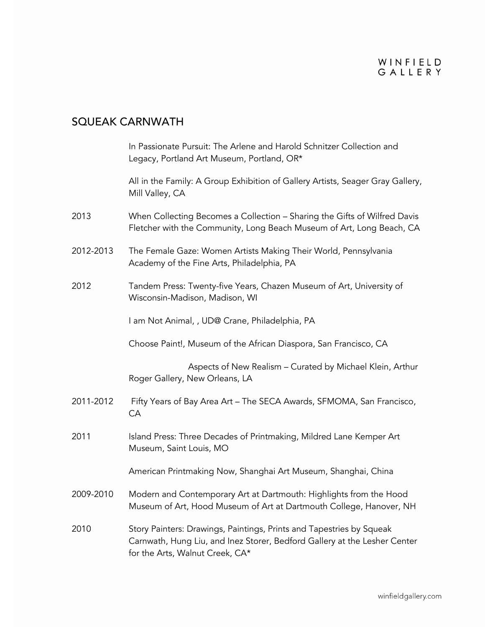|           | In Passionate Pursuit: The Arlene and Harold Schnitzer Collection and<br>Legacy, Portland Art Museum, Portland, OR*                                                                  |
|-----------|--------------------------------------------------------------------------------------------------------------------------------------------------------------------------------------|
|           | All in the Family: A Group Exhibition of Gallery Artists, Seager Gray Gallery,<br>Mill Valley, CA                                                                                    |
| 2013      | When Collecting Becomes a Collection - Sharing the Gifts of Wilfred Davis<br>Fletcher with the Community, Long Beach Museum of Art, Long Beach, CA                                   |
| 2012-2013 | The Female Gaze: Women Artists Making Their World, Pennsylvania<br>Academy of the Fine Arts, Philadelphia, PA                                                                        |
| 2012      | Tandem Press: Twenty-five Years, Chazen Museum of Art, University of<br>Wisconsin-Madison, Madison, WI                                                                               |
|           | I am Not Animal, , UD@ Crane, Philadelphia, PA                                                                                                                                       |
|           | Choose Paint!, Museum of the African Diaspora, San Francisco, CA                                                                                                                     |
|           | Aspects of New Realism - Curated by Michael Klein, Arthur<br>Roger Gallery, New Orleans, LA                                                                                          |
| 2011-2012 | Fifty Years of Bay Area Art - The SECA Awards, SFMOMA, San Francisco,<br>CA                                                                                                          |
| 2011      | Island Press: Three Decades of Printmaking, Mildred Lane Kemper Art<br>Museum, Saint Louis, MO                                                                                       |
|           | American Printmaking Now, Shanghai Art Museum, Shanghai, China                                                                                                                       |
| 2009-2010 | Modern and Contemporary Art at Dartmouth: Highlights from the Hood<br>Museum of Art, Hood Museum of Art at Dartmouth College, Hanover, NH                                            |
| 2010      | Story Painters: Drawings, Paintings, Prints and Tapestries by Squeak<br>Carnwath, Hung Liu, and Inez Storer, Bedford Gallery at the Lesher Center<br>for the Arts, Walnut Creek, CA* |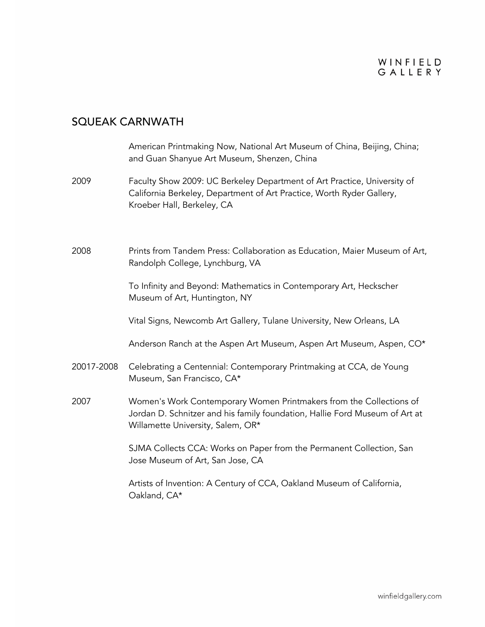|            | American Printmaking Now, National Art Museum of China, Beijing, China;<br>and Guan Shanyue Art Museum, Shenzen, China                                                                  |
|------------|-----------------------------------------------------------------------------------------------------------------------------------------------------------------------------------------|
| 2009       | Faculty Show 2009: UC Berkeley Department of Art Practice, University of<br>California Berkeley, Department of Art Practice, Worth Ryder Gallery,<br>Kroeber Hall, Berkeley, CA         |
| 2008       | Prints from Tandem Press: Collaboration as Education, Maier Museum of Art,<br>Randolph College, Lynchburg, VA                                                                           |
|            | To Infinity and Beyond: Mathematics in Contemporary Art, Heckscher<br>Museum of Art, Huntington, NY                                                                                     |
|            | Vital Signs, Newcomb Art Gallery, Tulane University, New Orleans, LA                                                                                                                    |
|            | Anderson Ranch at the Aspen Art Museum, Aspen Art Museum, Aspen, CO*                                                                                                                    |
| 20017-2008 | Celebrating a Centennial: Contemporary Printmaking at CCA, de Young<br>Museum, San Francisco, CA*                                                                                       |
| 2007       | Women's Work Contemporary Women Printmakers from the Collections of<br>Jordan D. Schnitzer and his family foundation, Hallie Ford Museum of Art at<br>Willamette University, Salem, OR* |
|            | SJMA Collects CCA: Works on Paper from the Permanent Collection, San<br>Jose Museum of Art, San Jose, CA                                                                                |
|            | Artists of Invention: A Century of CCA, Oakland Museum of California,<br>Oakland, CA*                                                                                                   |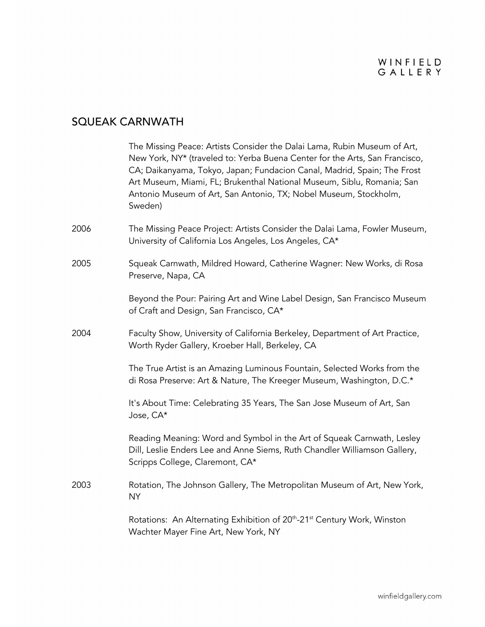|      | The Missing Peace: Artists Consider the Dalai Lama, Rubin Museum of Art,<br>New York, NY* (traveled to: Yerba Buena Center for the Arts, San Francisco,<br>CA; Daikanyama, Tokyo, Japan; Fundacion Canal, Madrid, Spain; The Frost<br>Art Museum, Miami, FL; Brukenthal National Museum, Siblu, Romania; San<br>Antonio Museum of Art, San Antonio, TX; Nobel Museum, Stockholm,<br>Sweden) |
|------|---------------------------------------------------------------------------------------------------------------------------------------------------------------------------------------------------------------------------------------------------------------------------------------------------------------------------------------------------------------------------------------------|
| 2006 | The Missing Peace Project: Artists Consider the Dalai Lama, Fowler Museum,<br>University of California Los Angeles, Los Angeles, CA*                                                                                                                                                                                                                                                        |
| 2005 | Squeak Carnwath, Mildred Howard, Catherine Wagner: New Works, di Rosa<br>Preserve, Napa, CA                                                                                                                                                                                                                                                                                                 |
|      | Beyond the Pour: Pairing Art and Wine Label Design, San Francisco Museum<br>of Craft and Design, San Francisco, CA*                                                                                                                                                                                                                                                                         |
| 2004 | Faculty Show, University of California Berkeley, Department of Art Practice,<br>Worth Ryder Gallery, Kroeber Hall, Berkeley, CA                                                                                                                                                                                                                                                             |
|      | The True Artist is an Amazing Luminous Fountain, Selected Works from the<br>di Rosa Preserve: Art & Nature, The Kreeger Museum, Washington, D.C.*                                                                                                                                                                                                                                           |
|      | It's About Time: Celebrating 35 Years, The San Jose Museum of Art, San<br>Jose, CA*                                                                                                                                                                                                                                                                                                         |
|      | Reading Meaning: Word and Symbol in the Art of Squeak Carnwath, Lesley<br>Dill, Leslie Enders Lee and Anne Siems, Ruth Chandler Williamson Gallery,<br>Scripps College, Claremont, CA*                                                                                                                                                                                                      |
| 2003 | Rotation, The Johnson Gallery, The Metropolitan Museum of Art, New York,<br><b>NY</b>                                                                                                                                                                                                                                                                                                       |
|      | Rotations: An Alternating Exhibition of 20 <sup>th</sup> -21 <sup>st</sup> Century Work, Winston<br>Wachter Mayer Fine Art, New York, NY                                                                                                                                                                                                                                                    |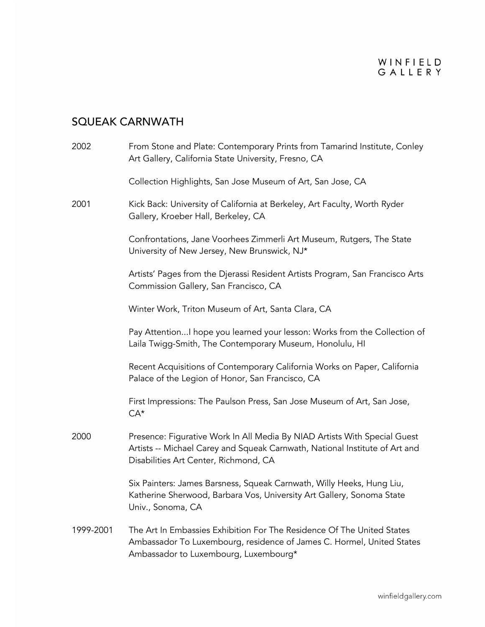| 2002      | From Stone and Plate: Contemporary Prints from Tamarind Institute, Conley<br>Art Gallery, California State University, Fresno, CA                                                                 |
|-----------|---------------------------------------------------------------------------------------------------------------------------------------------------------------------------------------------------|
|           | Collection Highlights, San Jose Museum of Art, San Jose, CA                                                                                                                                       |
| 2001      | Kick Back: University of California at Berkeley, Art Faculty, Worth Ryder<br>Gallery, Kroeber Hall, Berkeley, CA                                                                                  |
|           | Confrontations, Jane Voorhees Zimmerli Art Museum, Rutgers, The State<br>University of New Jersey, New Brunswick, NJ*                                                                             |
|           | Artists' Pages from the Djerassi Resident Artists Program, San Francisco Arts<br>Commission Gallery, San Francisco, CA                                                                            |
|           | Winter Work, Triton Museum of Art, Santa Clara, CA                                                                                                                                                |
|           | Pay AttentionI hope you learned your lesson: Works from the Collection of<br>Laila Twigg-Smith, The Contemporary Museum, Honolulu, HI                                                             |
|           | Recent Acquisitions of Contemporary California Works on Paper, California<br>Palace of the Legion of Honor, San Francisco, CA                                                                     |
|           | First Impressions: The Paulson Press, San Jose Museum of Art, San Jose,<br>$CA^*$                                                                                                                 |
| 2000      | Presence: Figurative Work In All Media By NIAD Artists With Special Guest<br>Artists -- Michael Carey and Squeak Carnwath, National Institute of Art and<br>Disabilities Art Center, Richmond, CA |
|           | Six Painters: James Barsness, Squeak Carnwath, Willy Heeks, Hung Liu,<br>Katherine Sherwood, Barbara Vos, University Art Gallery, Sonoma State<br>Univ., Sonoma, CA                               |
| 1999-2001 | The Art In Embassies Exhibition For The Residence Of The United States<br>Ambassador To Luxembourg, residence of James C. Hormel, United States<br>Ambassador to Luxembourg, Luxembourg*          |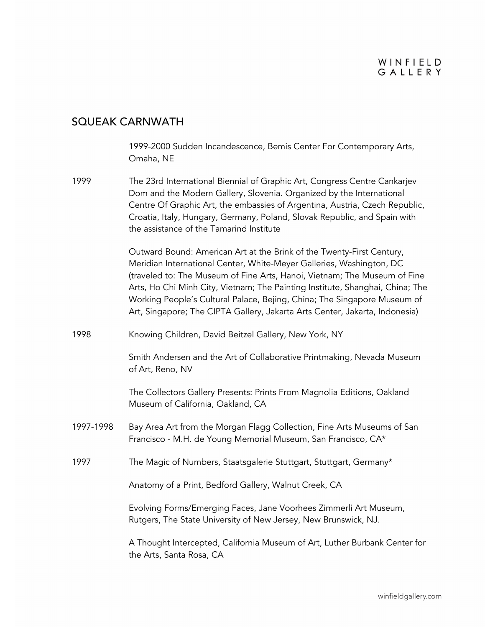#### WINFIELD GALLERY

#### SQUEAK CARNWATH

1999-2000 Sudden Incandescence, Bemis Center For Contemporary Arts, Omaha, NE

1999 The 23rd International Biennial of Graphic Art, Congress Centre Cankarjev Dom and the Modern Gallery, Slovenia. Organized by the International Centre Of Graphic Art, the embassies of Argentina, Austria, Czech Republic, Croatia, Italy, Hungary, Germany, Poland, Slovak Republic, and Spain with the assistance of the Tamarind Institute

> Outward Bound: American Art at the Brink of the Twenty-First Century, Meridian International Center, White-Meyer Galleries, Washington, DC (traveled to: The Museum of Fine Arts, Hanoi, Vietnam; The Museum of Fine Arts, Ho Chi Minh City, Vietnam; The Painting Institute, Shanghai, China; The Working People's Cultural Palace, Bejing, China; The Singapore Museum of Art, Singapore; The CIPTA Gallery, Jakarta Arts Center, Jakarta, Indonesia)

1998 Knowing Children, David Beitzel Gallery, New York, NY

Smith Andersen and the Art of Collaborative Printmaking, Nevada Museum of Art, Reno, NV

The Collectors Gallery Presents: Prints From Magnolia Editions, Oakland Museum of California, Oakland, CA

- 1997-1998 Bay Area Art from the Morgan Flagg Collection, Fine Arts Museums of San Francisco - M.H. de Young Memorial Museum, San Francisco, CA\*
- 1997 The Magic of Numbers, Staatsgalerie Stuttgart, Stuttgart, Germany\*

Anatomy of a Print, Bedford Gallery, Walnut Creek, CA

Evolving Forms/Emerging Faces, Jane Voorhees Zimmerli Art Museum, Rutgers, The State University of New Jersey, New Brunswick, NJ.

A Thought Intercepted, California Museum of Art, Luther Burbank Center for the Arts, Santa Rosa, CA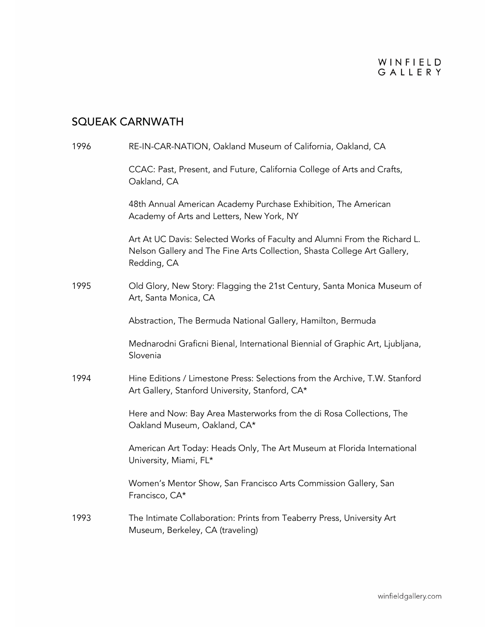| 1996 | RE-IN-CAR-NATION, Oakland Museum of California, Oakland, CA                                                                                                          |
|------|----------------------------------------------------------------------------------------------------------------------------------------------------------------------|
|      | CCAC: Past, Present, and Future, California College of Arts and Crafts,<br>Oakland, CA                                                                               |
|      | 48th Annual American Academy Purchase Exhibition, The American<br>Academy of Arts and Letters, New York, NY                                                          |
|      | Art At UC Davis: Selected Works of Faculty and Alumni From the Richard L.<br>Nelson Gallery and The Fine Arts Collection, Shasta College Art Gallery,<br>Redding, CA |
| 1995 | Old Glory, New Story: Flagging the 21st Century, Santa Monica Museum of<br>Art, Santa Monica, CA                                                                     |
|      | Abstraction, The Bermuda National Gallery, Hamilton, Bermuda                                                                                                         |
|      | Mednarodni Graficni Bienal, International Biennial of Graphic Art, Ljubljana,<br>Slovenia                                                                            |
| 1994 | Hine Editions / Limestone Press: Selections from the Archive, T.W. Stanford<br>Art Gallery, Stanford University, Stanford, CA*                                       |
|      | Here and Now: Bay Area Masterworks from the di Rosa Collections, The<br>Oakland Museum, Oakland, CA*                                                                 |
|      | American Art Today: Heads Only, The Art Museum at Florida International<br>University, Miami, FL*                                                                    |
|      | Women's Mentor Show, San Francisco Arts Commission Gallery, San<br>Francisco, CA*                                                                                    |
| 1993 | The Intimate Collaboration: Prints from Teaberry Press, University Art<br>Museum, Berkeley, CA (traveling)                                                           |
|      |                                                                                                                                                                      |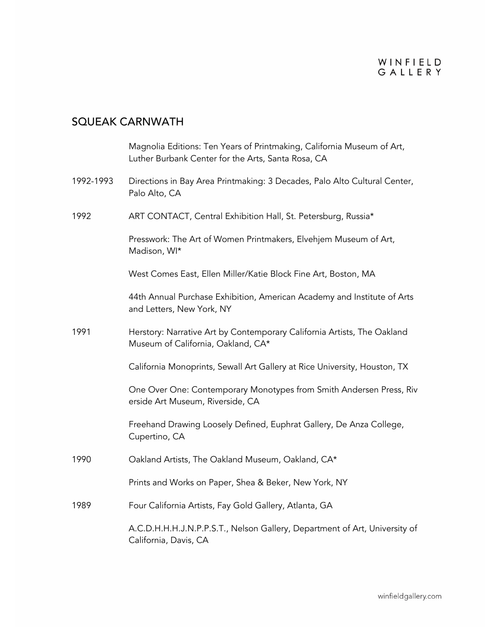|           | Magnolia Editions: Ten Years of Printmaking, California Museum of Art,<br>Luther Burbank Center for the Arts, Santa Rosa, CA |
|-----------|------------------------------------------------------------------------------------------------------------------------------|
| 1992-1993 | Directions in Bay Area Printmaking: 3 Decades, Palo Alto Cultural Center,<br>Palo Alto, CA                                   |
| 1992      | ART CONTACT, Central Exhibition Hall, St. Petersburg, Russia*                                                                |
|           | Presswork: The Art of Women Printmakers, Elvehjem Museum of Art,<br>Madison, WI*                                             |
|           | West Comes East, Ellen Miller/Katie Block Fine Art, Boston, MA                                                               |
|           | 44th Annual Purchase Exhibition, American Academy and Institute of Arts<br>and Letters, New York, NY                         |
| 1991      | Herstory: Narrative Art by Contemporary California Artists, The Oakland<br>Museum of California, Oakland, CA*                |
|           | California Monoprints, Sewall Art Gallery at Rice University, Houston, TX                                                    |
|           | One Over One: Contemporary Monotypes from Smith Andersen Press, Riv<br>erside Art Museum, Riverside, CA                      |
|           | Freehand Drawing Loosely Defined, Euphrat Gallery, De Anza College,<br>Cupertino, CA                                         |
| 1990      | Oakland Artists, The Oakland Museum, Oakland, CA*                                                                            |
|           | Prints and Works on Paper, Shea & Beker, New York, NY                                                                        |
| 1989      | Four California Artists, Fay Gold Gallery, Atlanta, GA                                                                       |
|           | A.C.D.H.H.H.J.N.P.P.S.T., Nelson Gallery, Department of Art, University of<br>California, Davis, CA                          |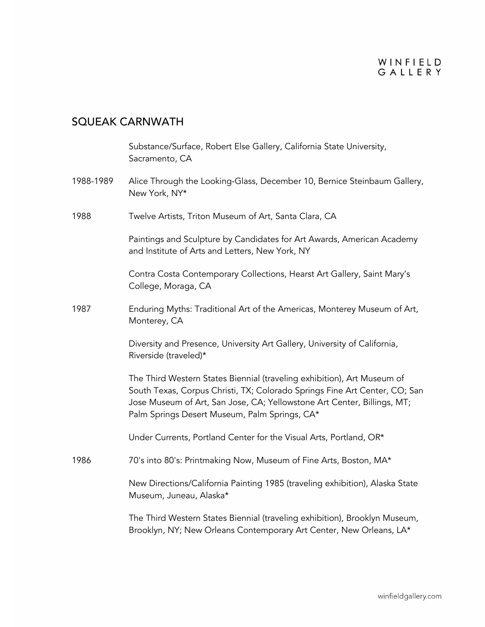|           | Substance/Surface, Robert Else Gallery, California State University,<br>Sacramento, CA                                                                                                                                                                                            |
|-----------|-----------------------------------------------------------------------------------------------------------------------------------------------------------------------------------------------------------------------------------------------------------------------------------|
| 1988-1989 | Alice Through the Looking-Glass, December 10, Bernice Steinbaum Gallery,<br>New York, NY*                                                                                                                                                                                         |
| 1988      | Twelve Artists, Triton Museum of Art, Santa Clara, CA                                                                                                                                                                                                                             |
|           | Paintings and Sculpture by Candidates for Art Awards, American Academy<br>and Institute of Arts and Letters, New York, NY                                                                                                                                                         |
|           | Contra Costa Contemporary Collections, Hearst Art Gallery, Saint Mary's<br>College, Moraga, CA                                                                                                                                                                                    |
| 1987      | Enduring Myths: Traditional Art of the Americas, Monterey Museum of Art,<br>Monterey, CA                                                                                                                                                                                          |
|           | Diversity and Presence, University Art Gallery, University of California,<br>Riverside (traveled)*                                                                                                                                                                                |
|           | The Third Western States Biennial (traveling exhibition), Art Museum of<br>South Texas, Corpus Christi, TX; Colorado Springs Fine Art Center, CO; San<br>Jose Museum of Art, San Jose, CA; Yellowstone Art Center, Billings, MT;<br>Palm Springs Desert Museum, Palm Springs, CA* |
|           | Under Currents, Portland Center for the Visual Arts, Portland, OR*                                                                                                                                                                                                                |
| 1986      | 70's into 80's: Printmaking Now, Museum of Fine Arts, Boston, MA*                                                                                                                                                                                                                 |
|           | New Directions/California Painting 1985 (traveling exhibition), Alaska State<br>Museum, Juneau, Alaska*                                                                                                                                                                           |
|           | The Third Western States Biennial (traveling exhibition), Brooklyn Museum,<br>Brooklyn, NY; New Orleans Contemporary Art Center, New Orleans, LA*                                                                                                                                 |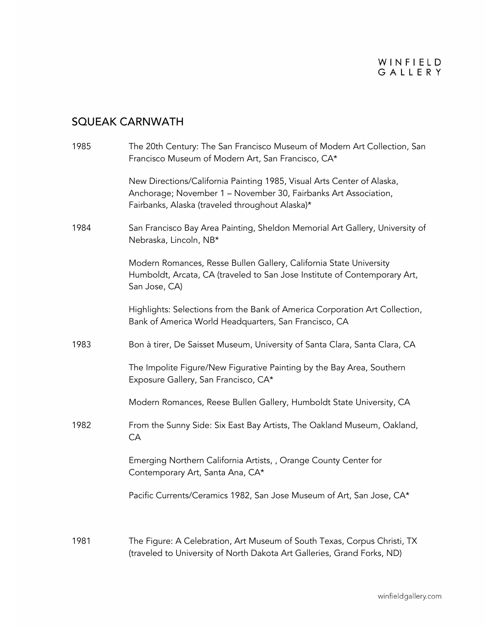| 1985 | The 20th Century: The San Francisco Museum of Modern Art Collection, San<br>Francisco Museum of Modern Art, San Francisco, CA*                                                               |
|------|----------------------------------------------------------------------------------------------------------------------------------------------------------------------------------------------|
|      | New Directions/California Painting 1985, Visual Arts Center of Alaska,<br>Anchorage; November 1 - November 30, Fairbanks Art Association,<br>Fairbanks, Alaska (traveled throughout Alaska)* |
| 1984 | San Francisco Bay Area Painting, Sheldon Memorial Art Gallery, University of<br>Nebraska, Lincoln, NB*                                                                                       |
|      | Modern Romances, Resse Bullen Gallery, California State University<br>Humboldt, Arcata, CA (traveled to San Jose Institute of Contemporary Art,<br>San Jose, CA)                             |
|      | Highlights: Selections from the Bank of America Corporation Art Collection,<br>Bank of America World Headquarters, San Francisco, CA                                                         |
| 1983 | Bon à tirer, De Saisset Museum, University of Santa Clara, Santa Clara, CA                                                                                                                   |
|      | The Impolite Figure/New Figurative Painting by the Bay Area, Southern<br>Exposure Gallery, San Francisco, CA*                                                                                |
|      | Modern Romances, Reese Bullen Gallery, Humboldt State University, CA                                                                                                                         |
| 1982 | From the Sunny Side: Six East Bay Artists, The Oakland Museum, Oakland,<br>CA                                                                                                                |
|      | Emerging Northern California Artists, , Orange County Center for<br>Contemporary Art, Santa Ana, CA*                                                                                         |
|      | Pacific Currents/Ceramics 1982, San Jose Museum of Art, San Jose, CA*                                                                                                                        |
| 1981 | The Figure: A Celebration, Art Museum of South Texas, Corpus Christi, TX<br>(traveled to University of North Dakota Art Galleries, Grand Forks, ND)                                          |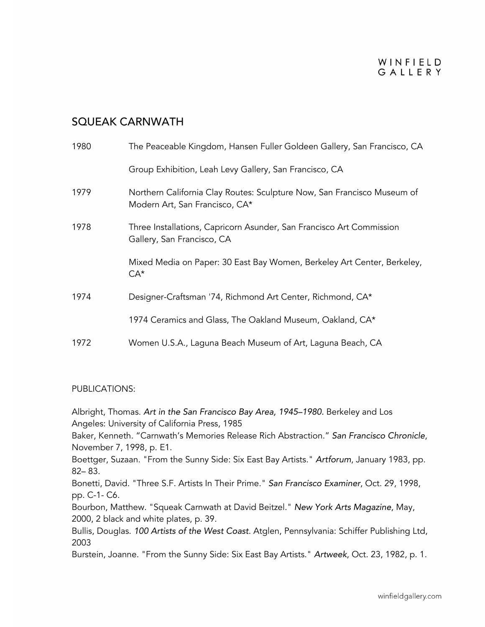#### WINFIELD GALLERY

#### SQUEAK CARNWATH

| 1980 | The Peaceable Kingdom, Hansen Fuller Goldeen Gallery, San Francisco, CA                                   |
|------|-----------------------------------------------------------------------------------------------------------|
|      | Group Exhibition, Leah Levy Gallery, San Francisco, CA                                                    |
| 1979 | Northern California Clay Routes: Sculpture Now, San Francisco Museum of<br>Modern Art, San Francisco, CA* |
| 1978 | Three Installations, Capricorn Asunder, San Francisco Art Commission<br>Gallery, San Francisco, CA        |
|      | Mixed Media on Paper: 30 East Bay Women, Berkeley Art Center, Berkeley,<br>$CA*$                          |
| 1974 | Designer-Craftsman '74, Richmond Art Center, Richmond, CA*                                                |
|      | 1974 Ceramics and Glass, The Oakland Museum, Oakland, CA*                                                 |
| 1972 | Women U.S.A., Laguna Beach Museum of Art, Laguna Beach, CA                                                |

#### PUBLICATIONS:

Albright, Thomas. *Art in the San Francisco Bay Area, 1945–1980.* Berkeley and Los Angeles: University of California Press, 1985

Baker, Kenneth. "Carnwath's Memories Release Rich Abstraction." *San Francisco Chronicle*, November 7, 1998, p. E1.

Boettger, Suzaan. "From the Sunny Side: Six East Bay Artists." *Artforum*, January 1983, pp. 82– 83.

Bonetti, David. "Three S.F. Artists In Their Prime." *San Francisco Examiner*, Oct. 29, 1998, pp. C-1- C6.

Bourbon, Matthew. "Squeak Carnwath at David Beitzel." *New York Arts Magazine*, May, 2000, 2 black and white plates, p. 39.

Bullis, Douglas. *100 Artists of the West Coast*. Atglen, Pennsylvania: Schiffer Publishing Ltd, 2003

Burstein, Joanne. "From the Sunny Side: Six East Bay Artists." *Artweek*, Oct. 23, 1982, p. 1.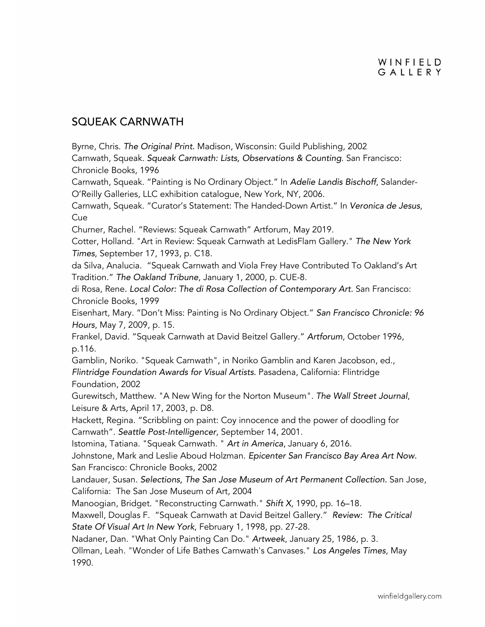#### SQUEAK CARNWATH

Byrne, Chris. *The Original Print.* Madison, Wisconsin: Guild Publishing, 2002

Carnwath, Squeak. *Squeak Carnwath: Lists, Observations & Counting*. San Francisco: Chronicle Books, 1996

Carnwath, Squeak. "Painting is No Ordinary Object." In *Adelie Landis Bischoff*, Salander-O'Reilly Galleries, LLC exhibition catalogue, New York, NY, 2006.

Carnwath, Squeak. "Curator's Statement: The Handed-Down Artist." In *Veronica de Jesus*, Cue

Churner, Rachel. "Reviews: Squeak Carnwath" Artforum, May 2019.

Cotter, Holland. "Art in Review: Squeak Carnwath at LedisFlam Gallery." *The New York Times*, September 17, 1993, p. C18.

da Silva, Analucia. "Squeak Carnwath and Viola Frey Have Contributed To Oakland's Art Tradition." *The Oakland Tribune*, January 1, 2000, p. CUE-8.

di Rosa, Rene*. Local Color: The di Rosa Collection of Contemporary Art.* San Francisco: Chronicle Books, 1999

Eisenhart, Mary. "Don't Miss: Painting is No Ordinary Object." *San Francisco Chronicle: 96 Hours*, May 7, 2009, p. 15.

Frankel, David. "Squeak Carnwath at David Beitzel Gallery." *Artforum*, October 1996, p.116.

Gamblin, Noriko. "Squeak Carnwath", in Noriko Gamblin and Karen Jacobson, ed., *Flintridge Foundation Awards for Visual Artists.* Pasadena, California: Flintridge Foundation, 2002

Gurewitsch, Matthew. "A New Wing for the Norton Museum". *The Wall Street Journal*, Leisure & Arts*,* April 17, 2003, p. D8.

Hackett, Regina. "Scribbling on paint: Coy innocence and the power of doodling for Carnwath". *Seattle Post-Intelligencer*, September 14, 2001.

Istomina, Tatiana. "Squeak Carnwath. " *Art in America*, January 6, 2016.

Johnstone, Mark and Leslie Aboud Holzman. *Epicenter San Francisco Bay Area Art Now.*  San Francisco: Chronicle Books, 2002

Landauer, Susan. *Selections, The San Jose Museum of Art Permanent Collection.* San Jose, California: The San Jose Museum of Art, 2004

Manoogian, Bridget. "Reconstructing Carnwath." *Shift X*, 1990, pp. 16–18.

Maxwell, Douglas F. "Squeak Carnwath at David Beitzel Gallery." *Review: The Critical State Of Visual Art In New York*, February 1, 1998, pp. 27-28.

Nadaner, Dan. "What Only Painting Can Do." *Artweek*, January 25, 1986, p. 3.

Ollman, Leah. "Wonder of Life Bathes Carnwath's Canvases." *Los Angeles Times*, May 1990.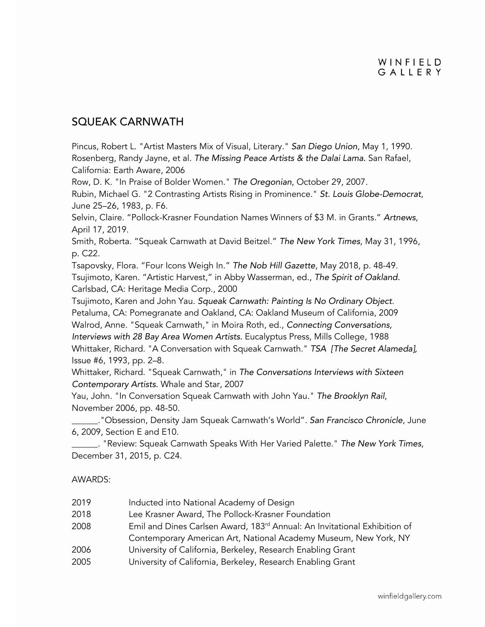### SQUEAK CARNWATH

Pincus, Robert L. "Artist Masters Mix of Visual, Literary." *San Diego Union*, May 1, 1990. Rosenberg, Randy Jayne, et al. *The Missing Peace Artists & the Dalai Lama.* San Rafael, California: Earth Aware, 2006

Row, D. K. "In Praise of Bolder Women." *The Oregonian*, October 29, 2007.

Rubin, Michael G. "2 Contrasting Artists Rising in Prominence." *St. Louis Globe-Democrat*, June 25–26, 1983, p. F6.

Selvin, Claire. "Pollock-Krasner Foundation Names Winners of \$3 M. in Grants." *Artnews*, April 17, 2019.

Smith, Roberta. "Squeak Carnwath at David Beitzel." *The New York Times*, May 31, 1996, p. C22.

Tsapovsky, Flora. "Four Icons Weigh In." *The Nob Hill Gazette*, May 2018, p. 48-49. Tsujimoto, Karen. "Artistic Harvest," in Abby Wasserman, ed., *The Spirit of Oakland.* Carlsbad, CA: Heritage Media Corp., 2000

Tsujimoto, Karen and John Yau. *Squeak Carnwath: Painting Is No Ordinary Object*. Petaluma, CA: Pomegranate and Oakland, CA: Oakland Museum of California, 2009 Walrod, Anne. "Squeak Carnwath," in Moira Roth, ed., *Connecting Conversations, Interviews with 28 Bay Area Women Artists.* Eucalyptus Press, Mills College, 1988 Whittaker, Richard. "A Conversation with Squeak Carnwath." *TSA [The Secret Alameda],*  Issue #6, 1993, pp. 2–8.

Whittaker, Richard. "Squeak Carnwath," in *The Conversations Interviews with Sixteen Contemporary Artists.* Whale and Star, 2007

Yau, John. "In Conversation Squeak Carnwath with John Yau." *The Brooklyn Rail*, November 2006, pp. 48-50.

\_\_\_\_\_\_."Obsession, Density Jam Squeak Carnwath's World". *San Francisco Chronicle*, June 6, 2009, Section E and E10.

\_\_\_\_\_\_. "Review: Squeak Carnwath Speaks With Her Varied Palette." *The New York Times*, December 31, 2015, p. C24.

#### AWARDS:

| 2019 | Inducted into National Academy of Design                                              |
|------|---------------------------------------------------------------------------------------|
| 2018 | Lee Krasner Award, The Pollock-Krasner Foundation                                     |
| 2008 | Emil and Dines Carlsen Award, 183 <sup>rd</sup> Annual: An Invitational Exhibition of |
|      | Contemporary American Art, National Academy Museum, New York, NY                      |
| 2006 | University of California, Berkeley, Research Enabling Grant                           |
| 2005 | University of California, Berkeley, Research Enabling Grant                           |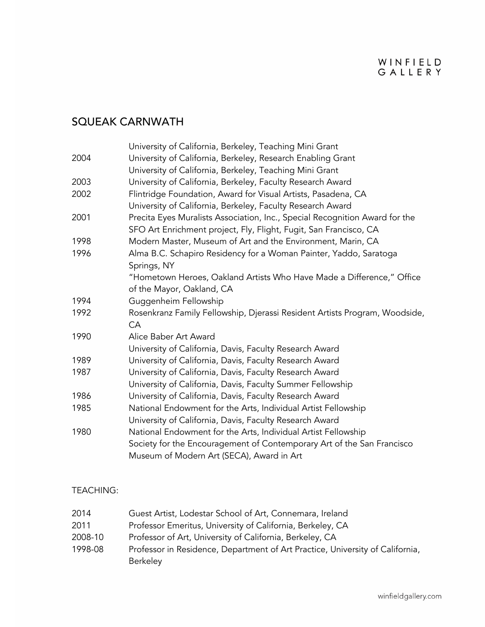## SQUEAK CARNWATH

|      | University of California, Berkeley, Teaching Mini Grant                     |
|------|-----------------------------------------------------------------------------|
| 2004 | University of California, Berkeley, Research Enabling Grant                 |
|      | University of California, Berkeley, Teaching Mini Grant                     |
| 2003 | University of California, Berkeley, Faculty Research Award                  |
| 2002 | Flintridge Foundation, Award for Visual Artists, Pasadena, CA               |
|      | University of California, Berkeley, Faculty Research Award                  |
| 2001 | Precita Eyes Muralists Association, Inc., Special Recognition Award for the |
|      | SFO Art Enrichment project, Fly, Flight, Fugit, San Francisco, CA           |
| 1998 | Modern Master, Museum of Art and the Environment, Marin, CA                 |
| 1996 | Alma B.C. Schapiro Residency for a Woman Painter, Yaddo, Saratoga           |
|      | Springs, NY                                                                 |
|      | "Hometown Heroes, Oakland Artists Who Have Made a Difference," Office       |
|      | of the Mayor, Oakland, CA                                                   |
| 1994 | Guggenheim Fellowship                                                       |
| 1992 | Rosenkranz Family Fellowship, Djerassi Resident Artists Program, Woodside,  |
|      | CA                                                                          |
| 1990 | Alice Baber Art Award                                                       |
|      | University of California, Davis, Faculty Research Award                     |
| 1989 | University of California, Davis, Faculty Research Award                     |
| 1987 | University of California, Davis, Faculty Research Award                     |
|      | University of California, Davis, Faculty Summer Fellowship                  |
| 1986 | University of California, Davis, Faculty Research Award                     |
| 1985 | National Endowment for the Arts, Individual Artist Fellowship               |
|      | University of California, Davis, Faculty Research Award                     |
| 1980 | National Endowment for the Arts, Individual Artist Fellowship               |
|      | Society for the Encouragement of Contemporary Art of the San Francisco      |
|      | Museum of Modern Art (SECA), Award in Art                                   |

#### TEACHING:

| 2014    | Guest Artist, Lodestar School of Art, Connemara, Ireland                      |
|---------|-------------------------------------------------------------------------------|
| 2011    | Professor Emeritus, University of California, Berkeley, CA                    |
| 2008-10 | Professor of Art, University of California, Berkeley, CA                      |
| 1998-08 | Professor in Residence, Department of Art Practice, University of California, |
|         | <b>Berkeley</b>                                                               |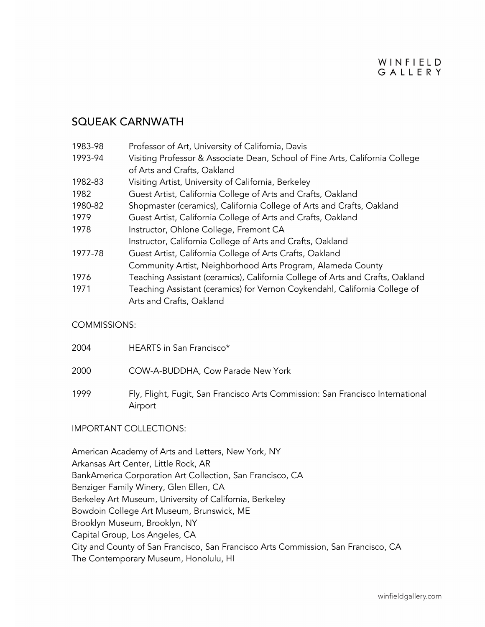#### WINFIELD GALLERY

#### SQUEAK CARNWATH

| 1983-98 | Professor of Art, University of California, Davis                             |
|---------|-------------------------------------------------------------------------------|
| 1993-94 | Visiting Professor & Associate Dean, School of Fine Arts, California College  |
|         | of Arts and Crafts, Oakland                                                   |
| 1982-83 | Visiting Artist, University of California, Berkeley                           |
| 1982    | Guest Artist, California College of Arts and Crafts, Oakland                  |
| 1980-82 | Shopmaster (ceramics), California College of Arts and Crafts, Oakland         |
| 1979    | Guest Artist, California College of Arts and Crafts, Oakland                  |
| 1978    | Instructor, Ohlone College, Fremont CA                                        |
|         | Instructor, California College of Arts and Crafts, Oakland                    |
| 1977-78 | Guest Artist, California College of Arts Crafts, Oakland                      |
|         | Community Artist, Neighborhood Arts Program, Alameda County                   |
| 1976    | Teaching Assistant (ceramics), California College of Arts and Crafts, Oakland |
| 1971    | Teaching Assistant (ceramics) for Vernon Coykendahl, California College of    |
|         | Arts and Crafts, Oakland                                                      |

#### COMMISSIONS:

| 2004 | HEARTS in San Francisco*                                                                  |
|------|-------------------------------------------------------------------------------------------|
| 2000 | COW-A-BUDDHA, Cow Parade New York                                                         |
| 1999 | Fly, Flight, Fugit, San Francisco Arts Commission: San Francisco International<br>Airport |

#### IMPORTANT COLLECTIONS:

American Academy of Arts and Letters, New York, NY Arkansas Art Center, Little Rock, AR BankAmerica Corporation Art Collection, San Francisco, CA Benziger Family Winery, Glen Ellen, CA Berkeley Art Museum, University of California, Berkeley Bowdoin College Art Museum, Brunswick, ME Brooklyn Museum, Brooklyn, NY Capital Group, Los Angeles, CA City and County of San Francisco, San Francisco Arts Commission, San Francisco, CA The Contemporary Museum, Honolulu, HI